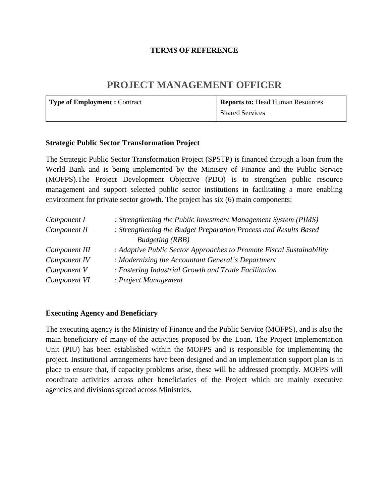#### **TERMS OF REFERENCE**

# **PROJECT MANAGEMENT OFFICER**

| Type of Employment : Contract | <b>Reports to: Head Human Resources</b> |
|-------------------------------|-----------------------------------------|
|                               | <b>Shared Services</b>                  |

#### **Strategic Public Sector Transformation Project**

The Strategic Public Sector Transformation Project (SPSTP) is financed through a loan from the World Bank and is being implemented by the Ministry of Finance and the Public Service (MOFPS).The Project Development Objective (PDO) is to strengthen public resource management and support selected public sector institutions in facilitating a more enabling environment for private sector growth. The project has six (6) main components:

| Component I   | : Strengthening the Public Investment Management System (PIMS)       |
|---------------|----------------------------------------------------------------------|
| Component II  | : Strengthening the Budget Preparation Process and Results Based     |
|               | <b>Budgeting</b> (RBB)                                               |
| Component III | : Adaptive Public Sector Approaches to Promote Fiscal Sustainability |
| Component IV  | : Modernizing the Accountant General's Department                    |
| Component V   | : Fostering Industrial Growth and Trade Facilitation                 |
| Component VI  | : Project Management                                                 |

#### **Executing Agency and Beneficiary**

The executing agency is the Ministry of Finance and the Public Service (MOFPS), and is also the main beneficiary of many of the activities proposed by the Loan. The Project Implementation Unit (PIU) has been established within the MOFPS and is responsible for implementing the project. Institutional arrangements have been designed and an implementation support plan is in place to ensure that, if capacity problems arise, these will be addressed promptly. MOFPS will coordinate activities across other beneficiaries of the Project which are mainly executive agencies and divisions spread across Ministries.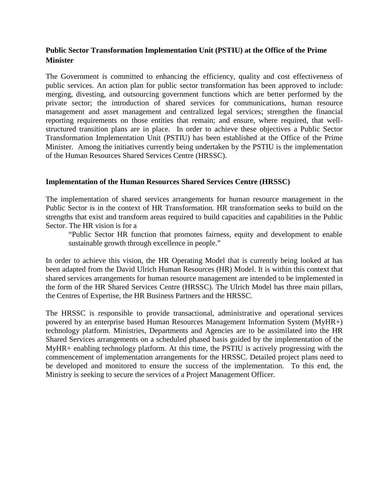## **Public Sector Transformation Implementation Unit (PSTIU) at the Office of the Prime Minister**

The Government is committed to enhancing the efficiency, quality and cost effectiveness of public services. An action plan for public sector transformation has been approved to include: merging, divesting, and outsourcing government functions which are better performed by the private sector; the introduction of shared services for communications, human resource management and asset management and centralized legal services; strengthen the financial reporting requirements on those entities that remain; and ensure, where required, that well structured transition plans are in place. In order to achieve these objectives a Public Sector Transformation Implementation Unit (PSTIU) has been established at the Office of the Prime Minister. Among the initiatives currently being undertaken by the PSTIU is the implementation of the Human Resources Shared Services Centre (HRSSC).

#### **Implementation of the Human Resources Shared Services Centre (HRSSC)**

The implementation of shared services arrangements for human resource management in the Public Sector is in the context of HR Transformation. HR transformation seeks to build on the strengths that exist and transform areas required to build capacities and capabilities in the Public Sector. The HR vision is for a

"Public Sector HR function that promotes fairness, equity and development to enable sustainable growth through excellence in people."

In order to achieve this vision, the HR Operating Model that is currently being looked at has been adapted from the David Ulrich Human Resources (HR) Model. It is within this context that shared services arrangements for human resource management are intended to be implemented in the form of the HR Shared Services Centre (HRSSC). The Ulrich Model has three main pillars, the Centres of Expertise, the HR Business Partners and the HRSSC.

The HRSSC is responsible to provide transactional, administrative and operational services powered by an enterprise based Human Resources Management Information System (MyHR+) technology platform. Ministries, Departments and Agencies are to be assimilated into the HR Shared Services arrangements on a scheduled phased basis guided by the implementation of the MyHR+ enabling technology platform. At this time, the PSTIU is actively progressing with the commencement of implementation arrangements for the HRSSC. Detailed project plans need to be developed and monitored to ensure the success of the implementation. To this end, the Ministry is seeking to secure the services of a Project Management Officer.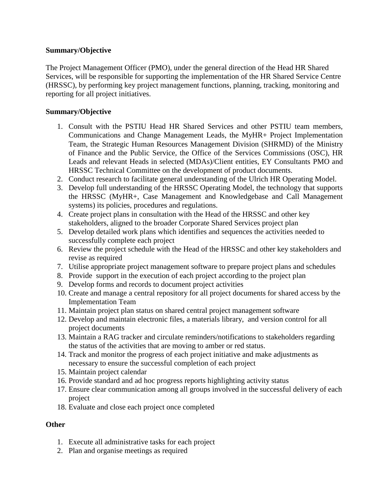#### **Summary/Objective**

The Project Management Officer (PMO), under the general direction of the Head HR Shared Services, will be responsible for supporting the implementation of the HR Shared Service Centre (HRSSC), by performing key project management functions, planning, tracking, monitoring and reporting for all project initiatives.

#### **Summary/Objective**

- 1. Consult with the PSTIU Head HR Shared Services and other PSTIU team members, Communications and Change Management Leads, the MyHR+ Project Implementation Team, the Strategic Human Resources Management Division (SHRMD) of the Ministry of Finance and the Public Service, the Office of the Services Commissions (OSC), HR Leads and relevant Heads in selected (MDAs)/Client entities, EY Consultants PMO and HRSSC Technical Committee on the development of product documents.
- 2. Conduct research to facilitate general understanding of the Ulrich HR Operating Model.
- 3. Develop full understanding of the HRSSC Operating Model, the technology that supports the HRSSC (MyHR+, Case Management and Knowledgebase and Call Management systems) its policies, procedures and regulations.
- 4. Create project plans in consultation with the Head of the HRSSC and other key stakeholders, aligned to the broader Corporate Shared Services project plan
- 5. Develop detailed work plans which identifies and sequences the activities needed to successfully complete each project
- 6. Review the project schedule with the Head of the HRSSC and other key stakeholders and revise as required
- 7. Utilise appropriate project management software to prepare project plans and schedules
- 8. Provide support in the execution of each project according to the project plan
- 9. Develop forms and records to document project activities
- 10. Create and manage a central repository for all project documents for shared access by the Implementation Team
- 11. Maintain project plan status on shared central project management software
- 12. Develop and maintain electronic files, a materials library, and version control for all project documents
- 13. Maintain a RAG tracker and circulate reminders/notifications to stakeholders regarding the status of the activities that are moving to amber or red status.
- 14. Track and monitor the progress of each project initiative and make adjustments as necessary to ensure the successful completion of each project
- 15. Maintain project calendar
- 16. Provide standard and ad hoc progress reports highlighting activity status
- 17. Ensure clear communication among all groups involved in the successful delivery of each project
- 18. Evaluate and close each project once completed

## **Other**

- 1. Execute all administrative tasks for each project
- 2. Plan and organise meetings as required